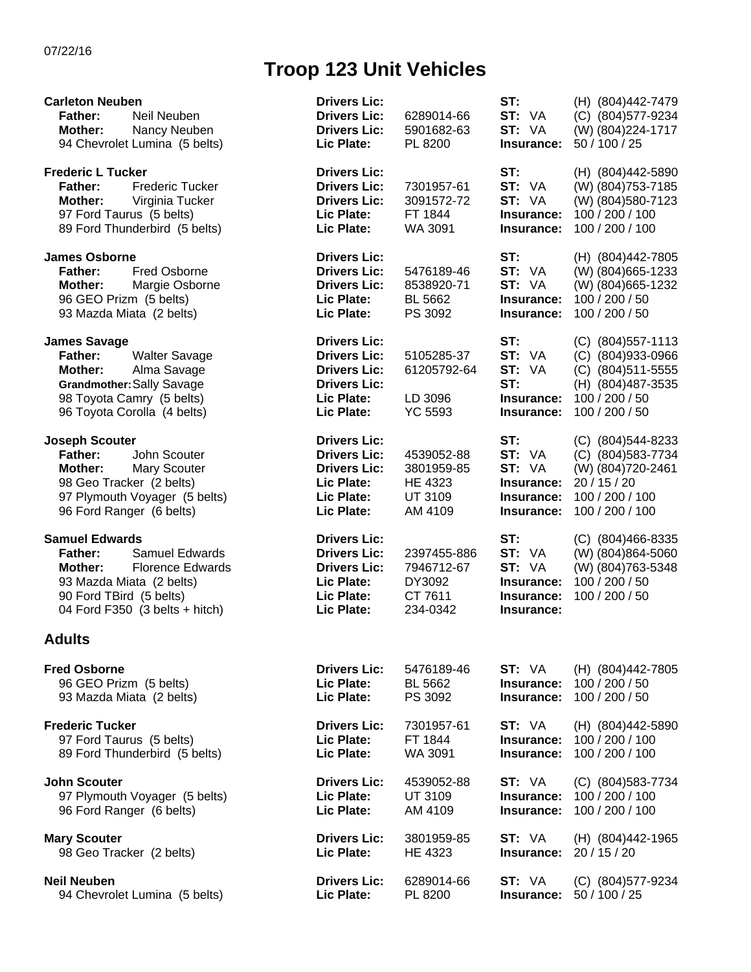## **Troop 123 Unit Vehicles**

| <b>Carleton Neuben</b><br><b>Father:</b><br>Neil Neuben<br><b>Mother:</b><br>Nancy Neuben<br>94 Chevrolet Lumina (5 belts)                                                               | <b>Drivers Lic:</b><br><b>Drivers Lic:</b><br><b>Drivers Lic:</b><br>Lic Plate:                                      | 6289014-66<br>5901682-63<br>PL 8200                        | ST:<br>ST: VA<br>ST: VA<br>Insurance:                             | (H) (804)442-7479<br>(C) (804) 577-9234<br>(W) (804) 224-1717<br>50 / 100 / 25                                         |
|------------------------------------------------------------------------------------------------------------------------------------------------------------------------------------------|----------------------------------------------------------------------------------------------------------------------|------------------------------------------------------------|-------------------------------------------------------------------|------------------------------------------------------------------------------------------------------------------------|
| <b>Frederic L Tucker</b><br><b>Frederic Tucker</b><br><b>Father:</b><br>Mother:<br>Virginia Tucker<br>97 Ford Taurus (5 belts)<br>89 Ford Thunderbird (5 belts)                          | <b>Drivers Lic:</b><br><b>Drivers Lic:</b><br><b>Drivers Lic:</b><br>Lic Plate:<br>Lic Plate:                        | 7301957-61<br>3091572-72<br>FT 1844<br>WA 3091             | ST:<br>ST: VA<br>ST: VA<br>Insurance:<br>Insurance:               | (H) (804)442-5890<br>(W) (804) 753-7185<br>(W) (804) 580-7123<br>100 / 200 / 100<br>100 / 200 / 100                    |
| <b>James Osborne</b><br><b>Fred Osborne</b><br><b>Father:</b><br><b>Mother:</b><br>Margie Osborne<br>96 GEO Prizm (5 belts)<br>93 Mazda Miata (2 belts)                                  | <b>Drivers Lic:</b><br><b>Drivers Lic:</b><br><b>Drivers Lic:</b><br>Lic Plate:<br>Lic Plate:                        | 5476189-46<br>8538920-71<br>BL 5662<br>PS 3092             | ST:<br>ST: VA<br>ST: VA<br>Insurance:<br>Insurance:               | (H) (804)442-7805<br>(W) (804) 665-1233<br>(W) (804) 665-1232<br>100 / 200 / 50<br>100 / 200 / 50                      |
| <b>James Savage</b><br><b>Walter Savage</b><br><b>Father:</b><br>Alma Savage<br>Mother:<br>Grandmother: Sally Savage<br>98 Toyota Camry (5 belts)<br>96 Toyota Corolla (4 belts)         | <b>Drivers Lic:</b><br><b>Drivers Lic:</b><br><b>Drivers Lic:</b><br><b>Drivers Lic:</b><br>Lic Plate:<br>Lic Plate: | 5105285-37<br>61205792-64<br>LD 3096<br><b>YC 5593</b>     | ST:<br>ST: VA<br>ST: VA<br>ST:<br>Insurance:<br>Insurance:        | (C) (804) 557-1113<br>(C) (804)933-0966<br>(C) (804)511-5555<br>(H) (804) 487-3535<br>100 / 200 / 50<br>100 / 200 / 50 |
| <b>Joseph Scouter</b><br><b>Father:</b><br>John Scouter<br>Mother:<br>Mary Scouter<br>98 Geo Tracker (2 belts)<br>97 Plymouth Voyager (5 belts)<br>96 Ford Ranger (6 belts)              | <b>Drivers Lic:</b><br><b>Drivers Lic:</b><br><b>Drivers Lic:</b><br>Lic Plate:<br>Lic Plate:<br>Lic Plate:          | 4539052-88<br>3801959-85<br>HE 4323<br>UT 3109<br>AM 4109  | ST:<br>ST: VA<br>ST: VA<br>Insurance:<br>Insurance:<br>Insurance: | (C) (804)544-8233<br>(C) (804) 583-7734<br>(W) (804)720-2461<br>20/15/20<br>100 / 200 / 100<br>100 / 200 / 100         |
| <b>Samuel Edwards</b><br>Samuel Edwards<br><b>Father:</b><br>Mother:<br><b>Florence Edwards</b><br>93 Mazda Miata (2 belts)<br>90 Ford TBird (5 belts)<br>04 Ford F350 (3 belts + hitch) | <b>Drivers Lic:</b><br><b>Drivers Lic:</b><br><b>Drivers Lic:</b><br>Lic Plate:<br>Lic Plate:<br>Lic Plate:          | 2397455-886<br>7946712-67<br>DY3092<br>CT 7611<br>234-0342 | ST:<br>ST: VA<br>ST: VA<br>Insurance:<br>Insurance:<br>Insurance: | $(C)$ (804)466-8335<br>(W) (804) 864-5060<br>(W) (804)763-5348<br>100 / 200 / 50<br>100 / 200 / 50                     |
| <b>Adults</b>                                                                                                                                                                            |                                                                                                                      |                                                            |                                                                   |                                                                                                                        |
| <b>Fred Osborne</b><br>96 GEO Prizm (5 belts)<br>93 Mazda Miata (2 belts)                                                                                                                | <b>Drivers Lic:</b><br>Lic Plate:<br>Lic Plate:                                                                      | 5476189-46<br><b>BL 5662</b><br>PS 3092                    | ST: VA<br>Insurance:<br>Insurance:                                | (H) (804)442-7805<br>100 / 200 / 50<br>100 / 200 / 50                                                                  |
| <b>Frederic Tucker</b><br>97 Ford Taurus (5 belts)<br>89 Ford Thunderbird (5 belts)                                                                                                      | <b>Drivers Lic:</b><br>Lic Plate:<br>Lic Plate:                                                                      | 7301957-61<br>FT 1844<br>WA 3091                           | ST: VA<br>Insurance:<br>Insurance:                                | (H) (804)442-5890<br>100 / 200 / 100<br>100 / 200 / 100                                                                |
| <b>John Scouter</b><br>97 Plymouth Voyager (5 belts)<br>96 Ford Ranger (6 belts)                                                                                                         | <b>Drivers Lic:</b><br>Lic Plate:<br>Lic Plate:                                                                      | 4539052-88<br>UT 3109<br>AM 4109                           | ST: VA<br>Insurance:                                              | (C) (804) 583-7734<br><b>Insurance: 100 / 200 / 100</b><br>100 / 200 / 100                                             |
| <b>Mary Scouter</b><br>98 Geo Tracker (2 belts)                                                                                                                                          | <b>Drivers Lic:</b><br>Lic Plate:                                                                                    | 3801959-85<br>HE 4323                                      | ST: VA<br>Insurance:                                              | (H) (804)442-1965<br>20 / 15 / 20                                                                                      |
| <b>Neil Neuben</b><br>94 Chevrolet Lumina (5 belts)                                                                                                                                      | <b>Drivers Lic:</b><br>Lic Plate:                                                                                    | 6289014-66<br>PL 8200                                      | ST: VA<br>Insurance:                                              | (C) (804) 577-9234<br>50 / 100 / 25                                                                                    |